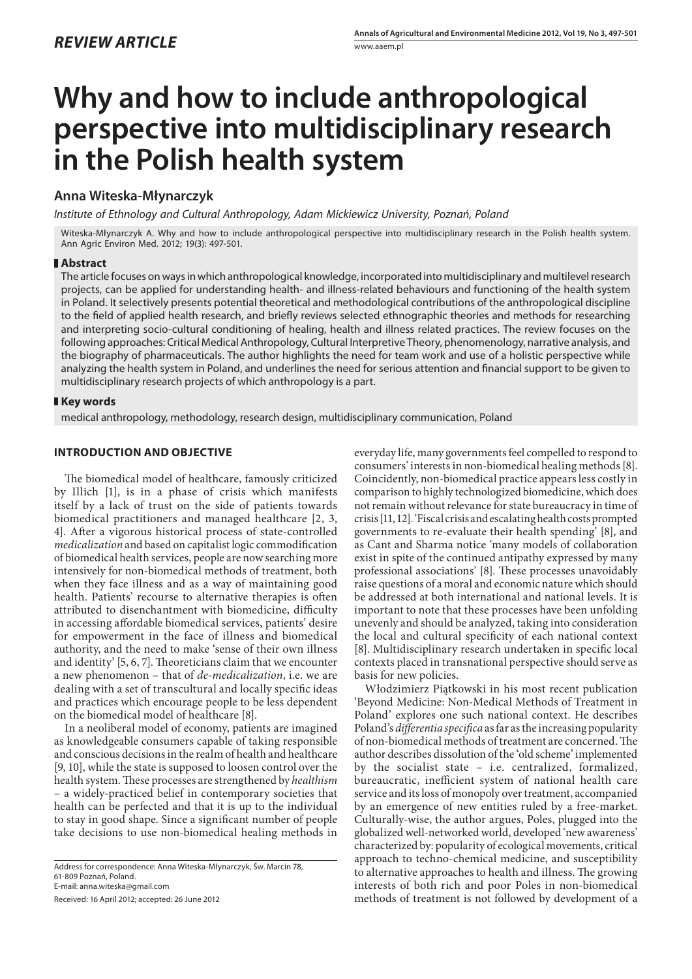# **Why and how to include anthropological perspective into multidisciplinary research in the Polish health system**

## **Anna Witeska-Młynarczyk**

*Institute of Ethnology and Cultural Anthropology, Adam Mickiewicz University, Poznań, Poland*

Witeska-Młynarczyk A. Why and how to include anthropological perspective into multidisciplinary research in the Polish health system. Ann Agric Environ Med. 2012; 19(3): 497-501.

#### **Abstract**

The article focuses on ways in which anthropological knowledge, incorporated into multidisciplinary and multilevel research projects, can be applied for understanding health- and illness-related behaviours and functioning of the health system in Poland. It selectively presents potential theoretical and methodological contributions of the anthropological discipline to the field of applied health research, and briefly reviews selected ethnographic theories and methods for researching and interpreting socio-cultural conditioning of healing, health and illness related practices. The review focuses on the following approaches: Critical Medical Anthropology, Cultural Interpretive Theory, phenomenology, narrative analysis, and the biography of pharmaceuticals. The author highlights the need for team work and use of a holistic perspective while analyzing the health system in Poland, and underlines the need for serious attention and financial support to be given to multidisciplinary research projects of which anthropology is a part.

### **Key words**

medical anthropology, methodology, research design, multidisciplinary communication, Poland

## **INTRODUCTION AND OBJECTIVE**

The biomedical model of healthcare, famously criticized by Illich [1], is in a phase of crisis which manifests itself by a lack of trust on the side of patients towards biomedical practitioners and managed healthcare [2, 3, 4]. After a vigorous historical process of state-controlled *medicalization* and based on capitalist logic commodification of biomedical health services, people are now searching more intensively for non-biomedical methods of treatment, both when they face illness and as a way of maintaining good health. Patients' recourse to alternative therapies is often attributed to disenchantment with biomedicine, difficulty in accessing affordable biomedical services, patients' desire for empowerment in the face of illness and biomedical authority, and the need to make 'sense of their own illness and identity' [5, 6, 7]. Theoreticians claim that we encounter a new phenomenon – that of *de-medicalization*, i.e. we are dealing with a set of transcultural and locally specific ideas and practices which encourage people to be less dependent on the biomedical model of healthcare [8].

In a neoliberal model of economy, patients are imagined as knowledgeable consumers capable of taking responsible and conscious decisions in the realm of health and healthcare [9, 10], while the state is supposed to loosen control over the health system. These processes are strengthened by *healthism* – a widely-practiced belief in contemporary societies that health can be perfected and that it is up to the individual to stay in good shape. Since a significant number of people take decisions to use non-biomedical healing methods in

Address for correspondence: Anna Witeska-Młynarczyk, Św. Marcin 78, 61-809 Poznań, Poland. E-mail: anna.witeska@gmail.com

Received: 16 April 2012; accepted: 26 June 2012

everyday life, many governments feel compelled to respond to consumers' interests in non-biomedical healing methods [8]. Coincidently, non-biomedical practice appears less costly in comparison to highly technologized biomedicine, which does not remain without relevance for state bureaucracy in time of crisis [11, 12]. 'Fiscal crisis and escalating health costs prompted governments to re-evaluate their health spending' [8], and as Cant and Sharma notice 'many models of collaboration exist in spite of the continued antipathy expressed by many professional associations' [8]. These processes unavoidably raise questions of a moral and economic nature which should be addressed at both international and national levels. It is important to note that these processes have been unfolding unevenly and should be analyzed, taking into consideration the local and cultural specificity of each national context [8]. Multidisciplinary research undertaken in specific local contexts placed in transnational perspective should serve as basis for new policies.

Włodzimierz Piątkowski in his most recent publication 'Beyond Medicine: Non-Medical Methods of Treatment in Poland' explores one such national context. He describes Poland's *differentia specifica* as far as the increasing popularity of non-biomedical methods of treatment are concerned. The author describes dissolution of the 'old scheme' implemented by the socialist state – i.e. centralized, formalized, bureaucratic, inefficient system of national health care service and its loss of monopoly over treatment, accompanied by an emergence of new entities ruled by a free-market. Culturally-wise, the author argues, Poles, plugged into the globalized well-networked world, developed 'new awareness' characterized by: popularity of ecological movements, critical approach to techno-chemical medicine, and susceptibility to alternative approaches to health and illness. The growing interests of both rich and poor Poles in non-biomedical methods of treatment is not followed by development of a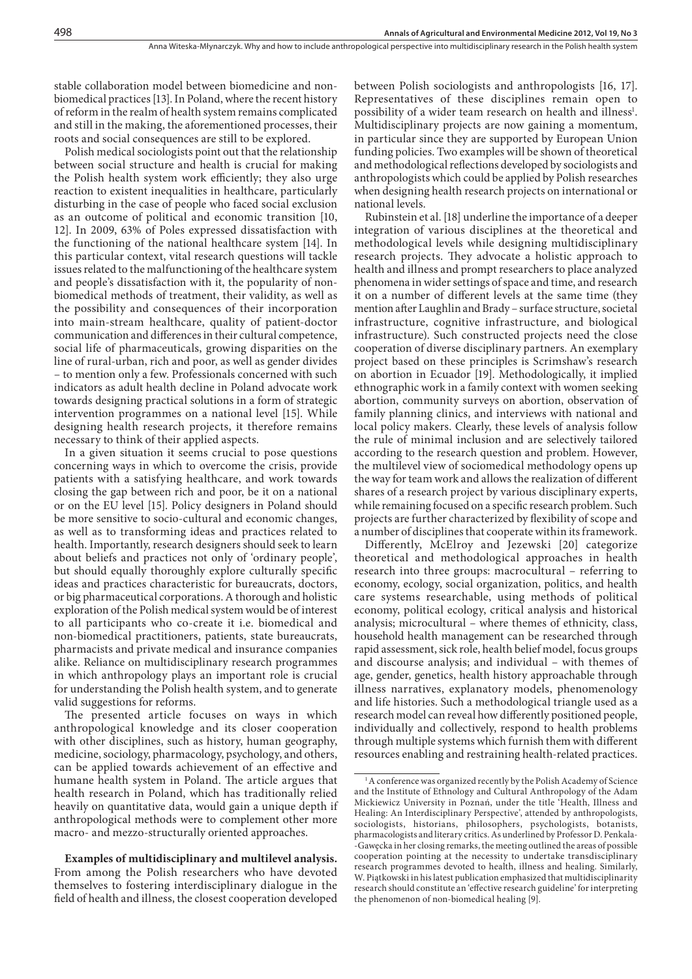stable collaboration model between biomedicine and nonbiomedical practices [13]. In Poland, where the recent history of reform in the realm of health system remains complicated and still in the making, the aforementioned processes, their roots and social consequences are still to be explored.

Polish medical sociologists point out that the relationship between social structure and health is crucial for making the Polish health system work efficiently; they also urge reaction to existent inequalities in healthcare, particularly disturbing in the case of people who faced social exclusion as an outcome of political and economic transition [10, 12]. In 2009, 63% of Poles expressed dissatisfaction with the functioning of the national healthcare system [14]. In this particular context, vital research questions will tackle issues related to the malfunctioning of the healthcare system and people's dissatisfaction with it, the popularity of nonbiomedical methods of treatment, their validity, as well as the possibility and consequences of their incorporation into main-stream healthcare, quality of patient-doctor communication and differences in their cultural competence, social life of pharmaceuticals, growing disparities on the line of rural-urban, rich and poor, as well as gender divides – to mention only a few. Professionals concerned with such indicators as adult health decline in Poland advocate work towards designing practical solutions in a form of strategic intervention programmes on a national level [15]. While designing health research projects, it therefore remains necessary to think of their applied aspects.

In a given situation it seems crucial to pose questions concerning ways in which to overcome the crisis, provide patients with a satisfying healthcare, and work towards closing the gap between rich and poor, be it on a national or on the EU level [15]. Policy designers in Poland should be more sensitive to socio-cultural and economic changes, as well as to transforming ideas and practices related to health. Importantly, research designers should seek to learn about beliefs and practices not only of 'ordinary people', but should equally thoroughly explore culturally specific ideas and practices characteristic for bureaucrats, doctors, or big pharmaceutical corporations. A thorough and holistic exploration of the Polish medical system would be of interest to all participants who co-create it i.e. biomedical and non-biomedical practitioners, patients, state bureaucrats, pharmacists and private medical and insurance companies alike. Reliance on multidisciplinary research programmes in which anthropology plays an important role is crucial for understanding the Polish health system, and to generate valid suggestions for reforms.

The presented article focuses on ways in which anthropological knowledge and its closer cooperation with other disciplines, such as history, human geography, medicine, sociology, pharmacology, psychology, and others, can be applied towards achievement of an effective and humane health system in Poland. The article argues that health research in Poland, which has traditionally relied heavily on quantitative data, would gain a unique depth if anthropological methods were to complement other more macro- and mezzo-structurally oriented approaches.

**Examples of multidisciplinary and multilevel analysis.** From among the Polish researchers who have devoted themselves to fostering interdisciplinary dialogue in the field of health and illness, the closest cooperation developed between Polish sociologists and anthropologists [16, 17]. Representatives of these disciplines remain open to possibility of a wider team research on health and illness<sup>1</sup>. Multidisciplinary projects are now gaining a momentum, in particular since they are supported by European Union funding policies. Two examples will be shown of theoretical and methodological reflections developed by sociologists and anthropologists which could be applied by Polish researches when designing health research projects on international or national levels.

Rubinstein et al. [18] underline the importance of a deeper integration of various disciplines at the theoretical and methodological levels while designing multidisciplinary research projects. They advocate a holistic approach to health and illness and prompt researchers to place analyzed phenomena in wider settings of space and time, and research it on a number of different levels at the same time (they mention after Laughlin and Brady – surface structure, societal infrastructure, cognitive infrastructure, and biological infrastructure). Such constructed projects need the close cooperation of diverse disciplinary partners. An exemplary project based on these principles is Scrimshaw's research on abortion in Ecuador [19]. Methodologically, it implied ethnographic work in a family context with women seeking abortion, community surveys on abortion, observation of family planning clinics, and interviews with national and local policy makers. Clearly, these levels of analysis follow the rule of minimal inclusion and are selectively tailored according to the research question and problem. However, the multilevel view of sociomedical methodology opens up the way for team work and allows the realization of different shares of a research project by various disciplinary experts, while remaining focused on a specific research problem. Such projects are further characterized by flexibility of scope and a number of disciplines that cooperate within its framework.

Differently, McElroy and Jezewski [20] categorize theoretical and methodological approaches in health research into three groups: macrocultural – referring to economy, ecology, social organization, politics, and health care systems researchable, using methods of political economy, political ecology, critical analysis and historical analysis; microcultural – where themes of ethnicity, class, household health management can be researched through rapid assessment, sick role, health belief model, focus groups and discourse analysis; and individual – with themes of age, gender, genetics, health history approachable through illness narratives, explanatory models, phenomenology and life histories. Such a methodological triangle used as a research model can reveal how differently positioned people, individually and collectively, respond to health problems through multiple systems which furnish them with different resources enabling and restraining health-related practices.

<sup>&</sup>lt;sup>1</sup>A conference was organized recently by the Polish Academy of Science and the Institute of Ethnology and Cultural Anthropology of the Adam Mickiewicz University in Poznań, under the title 'Health, Illness and Healing: An Interdisciplinary Perspective', attended by anthropologists, sociologists, historians, philosophers, psychologists, botanists, pharmacologists and literary critics. As underlined by Professor D. Penkala- -Gawęcka in her closing remarks, the meeting outlined the areas of possible cooperation pointing at the necessity to undertake transdisciplinary research programmes devoted to health, illness and healing. Similarly, W. Piątkowski in his latest publication emphasized that multidisciplinarity research should constitute an 'effective research guideline' for interpreting the phenomenon of non-biomedical healing [9].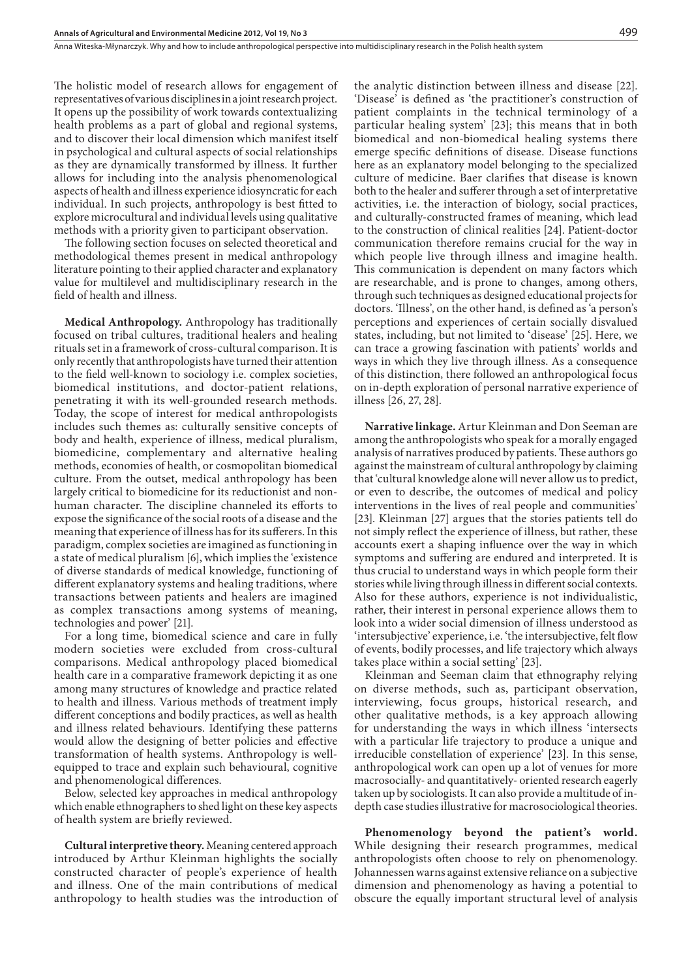The holistic model of research allows for engagement of representatives of various disciplines in a joint research project. It opens up the possibility of work towards contextualizing health problems as a part of global and regional systems, and to discover their local dimension which manifest itself in psychological and cultural aspects of social relationships as they are dynamically transformed by illness. It further allows for including into the analysis phenomenological aspects of health and illness experience idiosyncratic for each individual. In such projects, anthropology is best fitted to explore microcultural and individual levels using qualitative methods with a priority given to participant observation.

The following section focuses on selected theoretical and methodological themes present in medical anthropology literature pointing to their applied character and explanatory value for multilevel and multidisciplinary research in the field of health and illness.

**Medical Anthropology.** Anthropology has traditionally focused on tribal cultures, traditional healers and healing rituals set in a framework of cross-cultural comparison. It is only recently that anthropologists have turned their attention to the field well-known to sociology i.e. complex societies, biomedical institutions, and doctor-patient relations, penetrating it with its well-grounded research methods. Today, the scope of interest for medical anthropologists includes such themes as: culturally sensitive concepts of body and health, experience of illness, medical pluralism, biomedicine, complementary and alternative healing methods, economies of health, or cosmopolitan biomedical culture. From the outset, medical anthropology has been largely critical to biomedicine for its reductionist and nonhuman character. The discipline channeled its efforts to expose the significance of the social roots of a disease and the meaning that experience of illness has for its sufferers. In this paradigm, complex societies are imagined as functioning in a state of medical pluralism [6], which implies the 'existence of diverse standards of medical knowledge, functioning of different explanatory systems and healing traditions, where transactions between patients and healers are imagined as complex transactions among systems of meaning, technologies and power' [21].

For a long time, biomedical science and care in fully modern societies were excluded from cross-cultural comparisons. Medical anthropology placed biomedical health care in a comparative framework depicting it as one among many structures of knowledge and practice related to health and illness. Various methods of treatment imply different conceptions and bodily practices, as well as health and illness related behaviours. Identifying these patterns would allow the designing of better policies and effective transformation of health systems. Anthropology is wellequipped to trace and explain such behavioural, cognitive and phenomenological differences.

Below, selected key approaches in medical anthropology which enable ethnographers to shed light on these key aspects of health system are briefly reviewed.

**Cultural interpretive theory.** Meaning centered approach introduced by Arthur Kleinman highlights the socially constructed character of people's experience of health and illness. One of the main contributions of medical anthropology to health studies was the introduction of the analytic distinction between illness and disease [22]. 'Disease' is defined as 'the practitioner's construction of patient complaints in the technical terminology of a particular healing system' [23]; this means that in both biomedical and non-biomedical healing systems there emerge specific definitions of disease. Disease functions here as an explanatory model belonging to the specialized culture of medicine. Baer clarifies that disease is known both to the healer and sufferer through a set of interpretative activities, i.e. the interaction of biology, social practices, and culturally-constructed frames of meaning, which lead to the construction of clinical realities [24]. Patient-doctor communication therefore remains crucial for the way in which people live through illness and imagine health. This communication is dependent on many factors which are researchable, and is prone to changes, among others, through such techniques as designed educational projects for doctors. 'Illness', on the other hand, is defined as 'a person's perceptions and experiences of certain socially disvalued states, including, but not limited to 'disease' [25]. Here, we can trace a growing fascination with patients' worlds and ways in which they live through illness. As a consequence of this distinction, there followed an anthropological focus on in-depth exploration of personal narrative experience of illness [26, 27, 28].

**Narrative linkage.** Artur Kleinman and Don Seeman are among the anthropologists who speak for a morally engaged analysis of narratives produced by patients. These authors go against the mainstream of cultural anthropology by claiming that 'cultural knowledge alone will never allow us to predict, or even to describe, the outcomes of medical and policy interventions in the lives of real people and communities' [23]. Kleinman [27] argues that the stories patients tell do not simply reflect the experience of illness, but rather, these accounts exert a shaping influence over the way in which symptoms and suffering are endured and interpreted. It is thus crucial to understand ways in which people form their stories while living through illness in different social contexts. Also for these authors, experience is not individualistic, rather, their interest in personal experience allows them to look into a wider social dimension of illness understood as 'intersubjective' experience, i.e. 'the intersubjective, felt flow of events, bodily processes, and life trajectory which always takes place within a social setting' [23].

Kleinman and Seeman claim that ethnography relying on diverse methods, such as, participant observation, interviewing, focus groups, historical research, and other qualitative methods, is a key approach allowing for understanding the ways in which illness 'intersects with a particular life trajectory to produce a unique and irreducible constellation of experience' [23]. In this sense, anthropological work can open up a lot of venues for more macrosocially- and quantitatively- oriented research eagerly taken up by sociologists. It can also provide a multitude of indepth case studies illustrative for macrosociological theories.

**Phenomenology beyond the patient's world.** While designing their research programmes, medical anthropologists often choose to rely on phenomenology. Johannessen warns against extensive reliance on a subjective dimension and phenomenology as having a potential to obscure the equally important structural level of analysis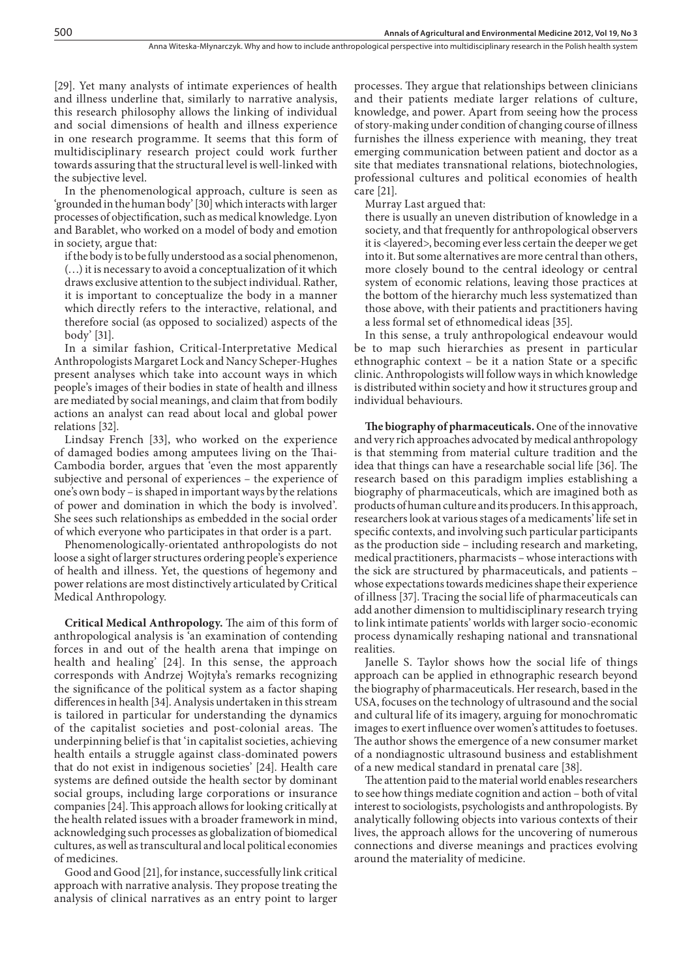[29]. Yet many analysts of intimate experiences of health and illness underline that, similarly to narrative analysis, this research philosophy allows the linking of individual and social dimensions of health and illness experience in one research programme. It seems that this form of multidisciplinary research project could work further towards assuring that the structural level is well-linked with the subjective level.

In the phenomenological approach, culture is seen as 'grounded in the human body' [30] which interacts with larger processes of objectification, such as medical knowledge. Lyon and Barablet, who worked on a model of body and emotion in society, argue that:

if the body is to be fully understood as a social phenomenon, (…) it is necessary to avoid a conceptualization of it which draws exclusive attention to the subject individual. Rather, it is important to conceptualize the body in a manner which directly refers to the interactive, relational, and therefore social (as opposed to socialized) aspects of the body' [31].

In a similar fashion, Critical-Interpretative Medical Anthropologists Margaret Lock and Nancy Scheper-Hughes present analyses which take into account ways in which people's images of their bodies in state of health and illness are mediated by social meanings, and claim that from bodily actions an analyst can read about local and global power relations [32].

Lindsay French [33], who worked on the experience of damaged bodies among amputees living on the Thai-Cambodia border, argues that 'even the most apparently subjective and personal of experiences – the experience of one's own body – is shaped in important ways by the relations of power and domination in which the body is involved'. She sees such relationships as embedded in the social order of which everyone who participates in that order is a part.

Phenomenologically-orientated anthropologists do not loose a sight of larger structures ordering people's experience of health and illness. Yet, the questions of hegemony and power relations are most distinctively articulated by Critical Medical Anthropology.

**Critical Medical Anthropology.** The aim of this form of anthropological analysis is 'an examination of contending forces in and out of the health arena that impinge on health and healing' [24]. In this sense, the approach corresponds with Andrzej Wojtyła's remarks recognizing the significance of the political system as a factor shaping differences in health [34]. Analysis undertaken in this stream is tailored in particular for understanding the dynamics of the capitalist societies and post-colonial areas. The underpinning belief is that 'in capitalist societies, achieving health entails a struggle against class-dominated powers that do not exist in indigenous societies' [24]. Health care systems are defined outside the health sector by dominant social groups, including large corporations or insurance companies [24]. This approach allows for looking critically at the health related issues with a broader framework in mind, acknowledging such processes as globalization of biomedical cultures, as well as transcultural and local political economies of medicines.

Good and Good [21], for instance, successfully link critical approach with narrative analysis. They propose treating the analysis of clinical narratives as an entry point to larger processes. They argue that relationships between clinicians and their patients mediate larger relations of culture, knowledge, and power. Apart from seeing how the process of story-making under condition of changing course of illness furnishes the illness experience with meaning, they treat emerging communication between patient and doctor as a site that mediates transnational relations, biotechnologies, professional cultures and political economies of health care [21].

Murray Last argued that:

there is usually an uneven distribution of knowledge in a society, and that frequently for anthropological observers it is <layered>, becoming ever less certain the deeper we get into it. But some alternatives are more central than others, more closely bound to the central ideology or central system of economic relations, leaving those practices at the bottom of the hierarchy much less systematized than those above, with their patients and practitioners having a less formal set of ethnomedical ideas [35].

In this sense, a truly anthropological endeavour would be to map such hierarchies as present in particular ethnographic context – be it a nation State or a specific clinic. Anthropologists will follow ways in which knowledge is distributed within society and how it structures group and individual behaviours.

**The biography of pharmaceuticals.** One of the innovative and very rich approaches advocated by medical anthropology is that stemming from material culture tradition and the idea that things can have a researchable social life [36]. The research based on this paradigm implies establishing a biography of pharmaceuticals, which are imagined both as products of human culture and its producers. In this approach, researchers look at various stages of a medicaments' life set in specific contexts, and involving such particular participants as the production side – including research and marketing, medical practitioners, pharmacists – whose interactions with the sick are structured by pharmaceuticals, and patients – whose expectations towards medicines shape their experience of illness [37]. Tracing the social life of pharmaceuticals can add another dimension to multidisciplinary research trying to link intimate patients' worlds with larger socio-economic process dynamically reshaping national and transnational realities.

Janelle S. Taylor shows how the social life of things approach can be applied in ethnographic research beyond the biography of pharmaceuticals. Her research, based in the USA, focuses on the technology of ultrasound and the social and cultural life of its imagery, arguing for monochromatic images to exert influence over women's attitudes to foetuses. The author shows the emergence of a new consumer market of a nondiagnostic ultrasound business and establishment of a new medical standard in prenatal care [38].

The attention paid to the material world enables researchers to see how things mediate cognition and action – both of vital interest to sociologists, psychologists and anthropologists. By analytically following objects into various contexts of their lives, the approach allows for the uncovering of numerous connections and diverse meanings and practices evolving around the materiality of medicine.